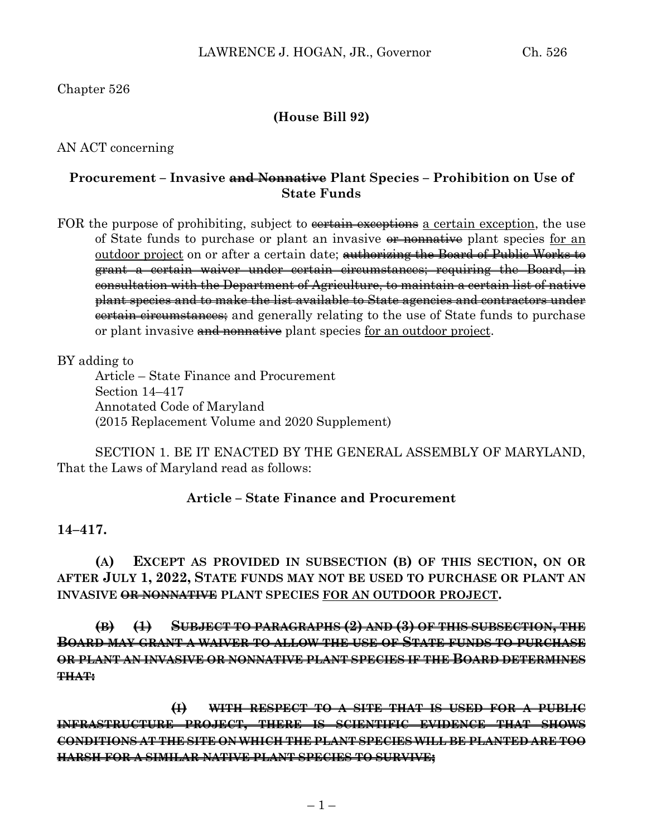# Chapter 526

# **(House Bill 92)**

AN ACT concerning

# **Procurement – Invasive and Nonnative Plant Species – Prohibition on Use of State Funds**

FOR the purpose of prohibiting, subject to <del>certain exceptions</del> a certain exception, the use of State funds to purchase or plant an invasive  $\theta$  monnative plant species for an outdoor project on or after a certain date; authorizing the Board of Public Works to grant a certain waiver under certain circumstances; requiring the Board, in consultation with the Department of Agriculture, to maintain a certain list of native plant species and to make the list available to State agencies and contractors under **certain circumstances**; and generally relating to the use of State funds to purchase or plant invasive and nonnative plant species for an outdoor project.

BY adding to

Article – State Finance and Procurement Section 14–417 Annotated Code of Maryland (2015 Replacement Volume and 2020 Supplement)

SECTION 1. BE IT ENACTED BY THE GENERAL ASSEMBLY OF MARYLAND, That the Laws of Maryland read as follows:

#### **Article – State Finance and Procurement**

## **14–417.**

**(A) EXCEPT AS PROVIDED IN SUBSECTION (B) OF THIS SECTION, ON OR AFTER JULY 1, 2022, STATE FUNDS MAY NOT BE USED TO PURCHASE OR PLANT AN INVASIVE OR NONNATIVE PLANT SPECIES FOR AN OUTDOOR PROJECT.**

**(B) (1) SUBJECT TO PARAGRAPHS (2) AND (3) OF THIS SUBSECTION, THE BOARD MAY GRANT A WAIVER TO ALLOW THE USE OF STATE FUNDS TO PURCHASE OR PLANT AN INVASIVE OR NONNATIVE PLANT SPECIES IF THE BOARD DETERMINES THAT:**

**(I) WITH RESPECT TO A SITE THAT IS USED FOR A PUBLIC INFRASTRUCTURE PROJECT, THERE IS SCIENTIFIC EVIDENCE THAT SHOWS CONDITIONS AT THE SITE ON WHICH THE PLANT SPECIES WILL BE PLANTED ARE TOO HARSH FOR A SIMILAR NATIVE PLANT SPECIES TO SURVIVE;**